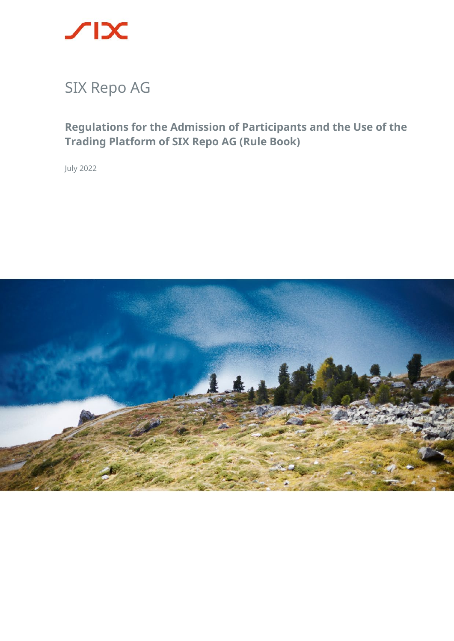

**Regulations for the Admission of Participants and the Use of the Trading Platform of SIX Repo AG (Rule Book)**

July 2022

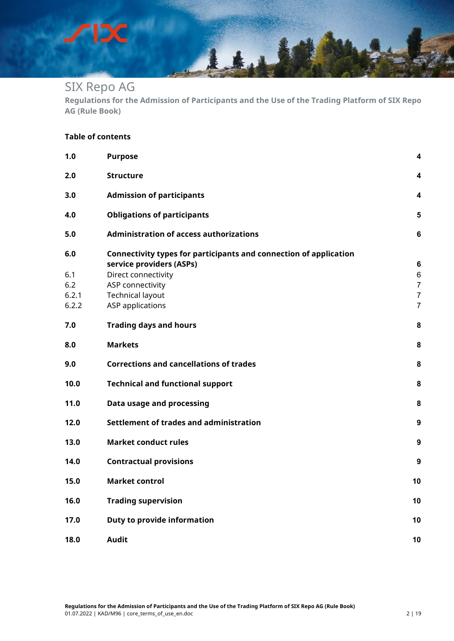DС

╱

**Regulations for the Admission of Participants and the Use of the Trading Platform of SIX Repo AG (Rule Book)**

14

#### **Table of contents**

| 1.0            | <b>Purpose</b>                                                    | 4               |
|----------------|-------------------------------------------------------------------|-----------------|
| 2.0            | <b>Structure</b>                                                  | 4               |
| 3.0            | <b>Admission of participants</b>                                  | 4               |
| 4.0            | <b>Obligations of participants</b>                                | 5               |
| 5.0            | <b>Administration of access authorizations</b>                    | $6\phantom{1}6$ |
| 6.0            | Connectivity types for participants and connection of application |                 |
|                | service providers (ASPs)                                          | $6\phantom{1}6$ |
| 6.1            | Direct connectivity                                               | $\,6$           |
| 6.2            | ASP connectivity                                                  | $\overline{7}$  |
| 6.2.1<br>6.2.2 | <b>Technical layout</b>                                           | $\overline{7}$  |
|                | <b>ASP</b> applications                                           | 7               |
| 7.0            | <b>Trading days and hours</b>                                     | 8               |
| 8.0            | <b>Markets</b>                                                    | 8               |
| 9.0            | <b>Corrections and cancellations of trades</b>                    | 8               |
| 10.0           | <b>Technical and functional support</b>                           | 8               |
| 11.0           | Data usage and processing                                         | 8               |
| 12.0           | Settlement of trades and administration                           | 9               |
| 13.0           | <b>Market conduct rules</b>                                       | 9               |
| 14.0           | <b>Contractual provisions</b>                                     | 9               |
| 15.0           | <b>Market control</b>                                             | 10              |
| 16.0           | <b>Trading supervision</b>                                        | 10              |
| 17.0           | Duty to provide information                                       | 10              |
| 18.0           | <b>Audit</b>                                                      | 10              |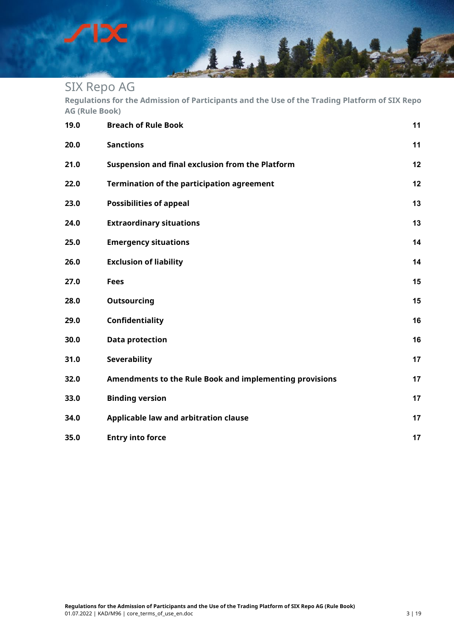DС

╱

**Regulations for the Admission of Participants and the Use of the Trading Platform of SIX Repo AG (Rule Book)**

144

| 19.0 | <b>Breach of Rule Book</b>                              | 11 |
|------|---------------------------------------------------------|----|
| 20.0 | <b>Sanctions</b>                                        | 11 |
| 21.0 | Suspension and final exclusion from the Platform        | 12 |
| 22.0 | <b>Termination of the participation agreement</b>       | 12 |
| 23.0 | <b>Possibilities of appeal</b>                          | 13 |
| 24.0 | <b>Extraordinary situations</b>                         | 13 |
| 25.0 | <b>Emergency situations</b>                             | 14 |
| 26.0 | <b>Exclusion of liability</b>                           | 14 |
| 27.0 | <b>Fees</b>                                             | 15 |
| 28.0 | <b>Outsourcing</b>                                      | 15 |
| 29.0 | Confidentiality                                         | 16 |
| 30.0 | <b>Data protection</b>                                  | 16 |
| 31.0 | <b>Severability</b>                                     | 17 |
| 32.0 | Amendments to the Rule Book and implementing provisions | 17 |
| 33.0 | <b>Binding version</b>                                  | 17 |
| 34.0 | Applicable law and arbitration clause                   | 17 |
| 35.0 | <b>Entry into force</b>                                 | 17 |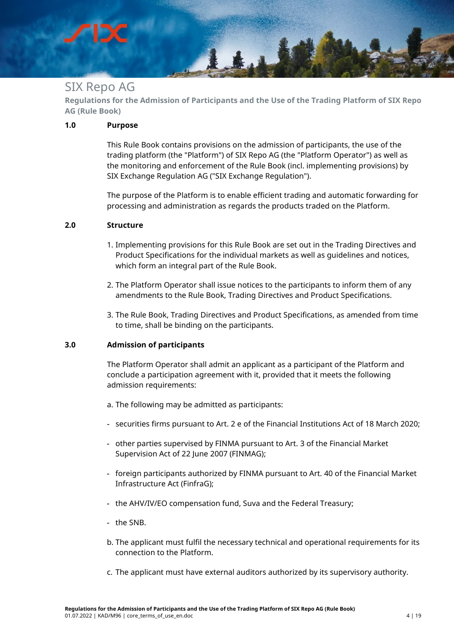**Regulations for the Admission of Participants and the Use of the Trading Platform of SIX Repo AG (Rule Book)**

Lt.L

#### <span id="page-3-0"></span>**1.0 Purpose**

This Rule Book contains provisions on the admission of participants, the use of the trading platform (the "Platform") of SIX Repo AG (the "Platform Operator") as well as the monitoring and enforcement of the Rule Book (incl. implementing provisions) by SIX Exchange Regulation AG ("SIX Exchange Regulation").

The purpose of the Platform is to enable efficient trading and automatic forwarding for processing and administration as regards the products traded on the Platform.

#### <span id="page-3-1"></span>**2.0 Structure**

- 1. Implementing provisions for this Rule Book are set out in the Trading Directives and Product Specifications for the individual markets as well as guidelines and notices, which form an integral part of the Rule Book.
- 2. The Platform Operator shall issue notices to the participants to inform them of any amendments to the Rule Book, Trading Directives and Product Specifications.
- 3. The Rule Book, Trading Directives and Product Specifications, as amended from time to time, shall be binding on the participants.

#### <span id="page-3-2"></span>**3.0 Admission of participants**

The Platform Operator shall admit an applicant as a participant of the Platform and conclude a participation agreement with it, provided that it meets the following admission requirements:

- a. The following may be admitted as participants:
- securities firms pursuant to Art. 2 e of the Financial Institutions Act of 18 March 2020;
- other parties supervised by FINMA pursuant to Art. 3 of the Financial Market Supervision Act of 22 June 2007 (FINMAG);
- foreign participants authorized by FINMA pursuant to Art. 40 of the Financial Market Infrastructure Act (FinfraG);
- the AHV/IV/EO compensation fund, Suva and the Federal Treasury;
- the SNB.
- b. The applicant must fulfil the necessary technical and operational requirements for its connection to the Platform.
- c. The applicant must have external auditors authorized by its supervisory authority.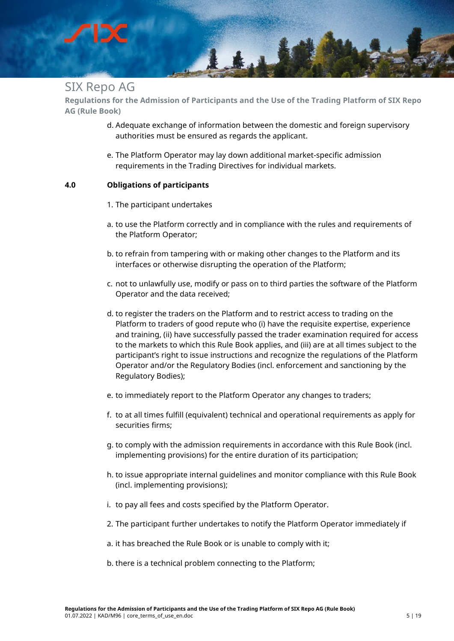

**Regulations for the Admission of Participants and the Use of the Trading Platform of SIX Repo AG (Rule Book)**

- d. Adequate exchange of information between the domestic and foreign supervisory authorities must be ensured as regards the applicant.
- e. The Platform Operator may lay down additional market-specific admission requirements in the Trading Directives for individual markets.

#### <span id="page-4-0"></span>**4.0 Obligations of participants**

- 1. The participant undertakes
- a. to use the Platform correctly and in compliance with the rules and requirements of the Platform Operator;
- b. to refrain from tampering with or making other changes to the Platform and its interfaces or otherwise disrupting the operation of the Platform;
- c. not to unlawfully use, modify or pass on to third parties the software of the Platform Operator and the data received;
- d. to register the traders on the Platform and to restrict access to trading on the Platform to traders of good repute who (i) have the requisite expertise, experience and training, (ii) have successfully passed the trader examination required for access to the markets to which this Rule Book applies, and (iii) are at all times subject to the participant's right to issue instructions and recognize the regulations of the Platform Operator and/or the Regulatory Bodies (incl. enforcement and sanctioning by the Regulatory Bodies);
- e. to immediately report to the Platform Operator any changes to traders;
- f. to at all times fulfill (equivalent) technical and operational requirements as apply for securities firms;
- g. to comply with the admission requirements in accordance with this Rule Book (incl. implementing provisions) for the entire duration of its participation;
- h. to issue appropriate internal guidelines and monitor compliance with this Rule Book (incl. implementing provisions);
- i. to pay all fees and costs specified by the Platform Operator.
- 2. The participant further undertakes to notify the Platform Operator immediately if
- a. it has breached the Rule Book or is unable to comply with it;
- b. there is a technical problem connecting to the Platform;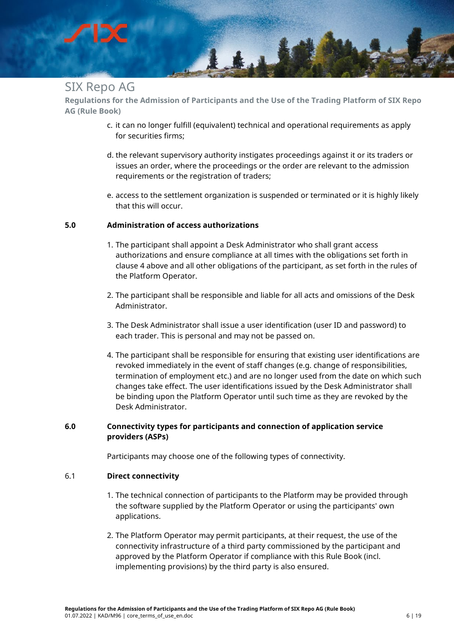

**Regulations for the Admission of Participants and the Use of the Trading Platform of SIX Repo AG (Rule Book)**

- c. it can no longer fulfill (equivalent) technical and operational requirements as apply for securities firms;
- d. the relevant supervisory authority instigates proceedings against it or its traders or issues an order, where the proceedings or the order are relevant to the admission requirements or the registration of traders;
- e. access to the settlement organization is suspended or terminated or it is highly likely that this will occur.

#### <span id="page-5-0"></span>**5.0 Administration of access authorizations**

- 1. The participant shall appoint a Desk Administrator who shall grant access authorizations and ensure compliance at all times with the obligations set forth in clause 4 above and all other obligations of the participant, as set forth in the rules of the Platform Operator.
- 2. The participant shall be responsible and liable for all acts and omissions of the Desk Administrator.
- 3. The Desk Administrator shall issue a user identification (user ID and password) to each trader. This is personal and may not be passed on.
- 4. The participant shall be responsible for ensuring that existing user identifications are revoked immediately in the event of staff changes (e.g. change of responsibilities, termination of employment etc.) and are no longer used from the date on which such changes take effect. The user identifications issued by the Desk Administrator shall be binding upon the Platform Operator until such time as they are revoked by the Desk Administrator.

#### <span id="page-5-1"></span>**6.0 Connectivity types for participants and connection of application service providers (ASPs)**

Participants may choose one of the following types of connectivity.

#### <span id="page-5-2"></span>6.1 **Direct connectivity**

- 1. The technical connection of participants to the Platform may be provided through the software supplied by the Platform Operator or using the participants' own applications.
- 2. The Platform Operator may permit participants, at their request, the use of the connectivity infrastructure of a third party commissioned by the participant and approved by the Platform Operator if compliance with this Rule Book (incl. implementing provisions) by the third party is also ensured.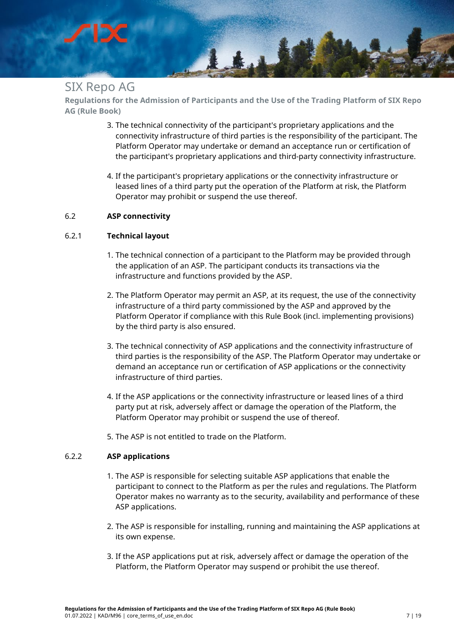

**Regulations for the Admission of Participants and the Use of the Trading Platform of SIX Repo AG (Rule Book)**

- 3. The technical connectivity of the participant's proprietary applications and the connectivity infrastructure of third parties is the responsibility of the participant. The Platform Operator may undertake or demand an acceptance run or certification of the participant's proprietary applications and third-party connectivity infrastructure.
- 4. If the participant's proprietary applications or the connectivity infrastructure or leased lines of a third party put the operation of the Platform at risk, the Platform Operator may prohibit or suspend the use thereof.

#### <span id="page-6-0"></span>6.2 **ASP connectivity**

#### <span id="page-6-1"></span>6.2.1 **Technical layout**

- 1. The technical connection of a participant to the Platform may be provided through the application of an ASP. The participant conducts its transactions via the infrastructure and functions provided by the ASP.
- 2. The Platform Operator may permit an ASP, at its request, the use of the connectivity infrastructure of a third party commissioned by the ASP and approved by the Platform Operator if compliance with this Rule Book (incl. implementing provisions) by the third party is also ensured.
- 3. The technical connectivity of ASP applications and the connectivity infrastructure of third parties is the responsibility of the ASP. The Platform Operator may undertake or demand an acceptance run or certification of ASP applications or the connectivity infrastructure of third parties.
- 4. If the ASP applications or the connectivity infrastructure or leased lines of a third party put at risk, adversely affect or damage the operation of the Platform, the Platform Operator may prohibit or suspend the use of thereof.
- 5. The ASP is not entitled to trade on the Platform.

#### <span id="page-6-2"></span>6.2.2 **ASP applications**

- 1. The ASP is responsible for selecting suitable ASP applications that enable the participant to connect to the Platform as per the rules and regulations. The Platform Operator makes no warranty as to the security, availability and performance of these ASP applications.
- 2. The ASP is responsible for installing, running and maintaining the ASP applications at its own expense.
- 3. If the ASP applications put at risk, adversely affect or damage the operation of the Platform, the Platform Operator may suspend or prohibit the use thereof.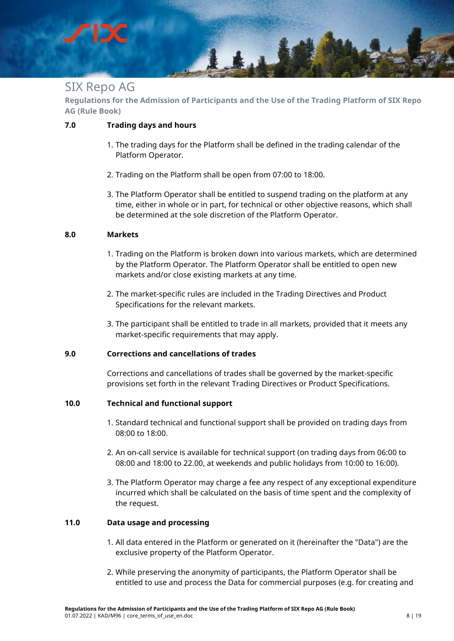## Ltd

## SIX Repo AG

**Regulations for the Admission of Participants and the Use of the Trading Platform of SIX Repo AG (Rule Book)**

#### <span id="page-7-0"></span>**7.0 Trading days and hours**

- 1. The trading days for the Platform shall be defined in the trading calendar of the Platform Operator.
- 2. Trading on the Platform shall be open from 07:00 to 18:00.
- 3. The Platform Operator shall be entitled to suspend trading on the platform at any time, either in whole or in part, for technical or other objective reasons, which shall be determined at the sole discretion of the Platform Operator.

#### <span id="page-7-1"></span>**8.0 Markets**

- 1. Trading on the Platform is broken down into various markets, which are determined by the Platform Operator. The Platform Operator shall be entitled to open new markets and/or close existing markets at any time.
- 2. The market-specific rules are included in the Trading Directives and Product Specifications for the relevant markets.
- 3. The participant shall be entitled to trade in all markets, provided that it meets any market-specific requirements that may apply.

#### <span id="page-7-2"></span>**9.0 Corrections and cancellations of trades**

Corrections and cancellations of trades shall be governed by the market-specific provisions set forth in the relevant Trading Directives or Product Specifications.

#### <span id="page-7-3"></span>**10.0 Technical and functional support**

- 1. Standard technical and functional support shall be provided on trading days from 08:00 to 18:00.
- 2. An on-call service is available for technical support (on trading days from 06:00 to 08:00 and 18:00 to 22.00, at weekends and public holidays from 10:00 to 16:00).
- 3. The Platform Operator may charge a fee any respect of any exceptional expenditure incurred which shall be calculated on the basis of time spent and the complexity of the request.

#### <span id="page-7-4"></span>**11.0 Data usage and processing**

- 1. All data entered in the Platform or generated on it (hereinafter the "Data") are the exclusive property of the Platform Operator.
- 2. While preserving the anonymity of participants, the Platform Operator shall be entitled to use and process the Data for commercial purposes (e.g. for creating and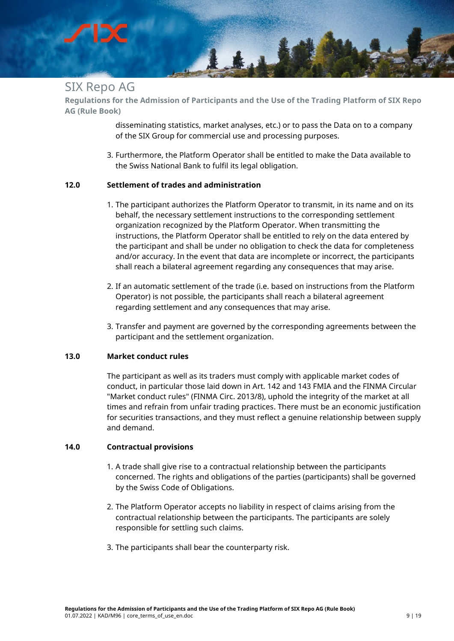## Ltd

## SIX Repo AG

**Regulations for the Admission of Participants and the Use of the Trading Platform of SIX Repo AG (Rule Book)**

> disseminating statistics, market analyses, etc.) or to pass the Data on to a company of the SIX Group for commercial use and processing purposes.

3. Furthermore, the Platform Operator shall be entitled to make the Data available to the Swiss National Bank to fulfil its legal obligation.

#### <span id="page-8-0"></span>**12.0 Settlement of trades and administration**

- 1. The participant authorizes the Platform Operator to transmit, in its name and on its behalf, the necessary settlement instructions to the corresponding settlement organization recognized by the Platform Operator. When transmitting the instructions, the Platform Operator shall be entitled to rely on the data entered by the participant and shall be under no obligation to check the data for completeness and/or accuracy. In the event that data are incomplete or incorrect, the participants shall reach a bilateral agreement regarding any consequences that may arise.
- 2. If an automatic settlement of the trade (i.e. based on instructions from the Platform Operator) is not possible, the participants shall reach a bilateral agreement regarding settlement and any consequences that may arise.
- 3. Transfer and payment are governed by the corresponding agreements between the participant and the settlement organization.

#### <span id="page-8-1"></span>**13.0 Market conduct rules**

The participant as well as its traders must comply with applicable market codes of conduct, in particular those laid down in Art. 142 and 143 FMIA and the FINMA Circular "Market conduct rules" (FINMA Circ. 2013/8), uphold the integrity of the market at all times and refrain from unfair trading practices. There must be an economic justification for securities transactions, and they must reflect a genuine relationship between supply and demand.

#### <span id="page-8-2"></span>**14.0 Contractual provisions**

- 1. A trade shall give rise to a contractual relationship between the participants concerned. The rights and obligations of the parties (participants) shall be governed by the Swiss Code of Obligations.
- 2. The Platform Operator accepts no liability in respect of claims arising from the contractual relationship between the participants. The participants are solely responsible for settling such claims.
- 3. The participants shall bear the counterparty risk.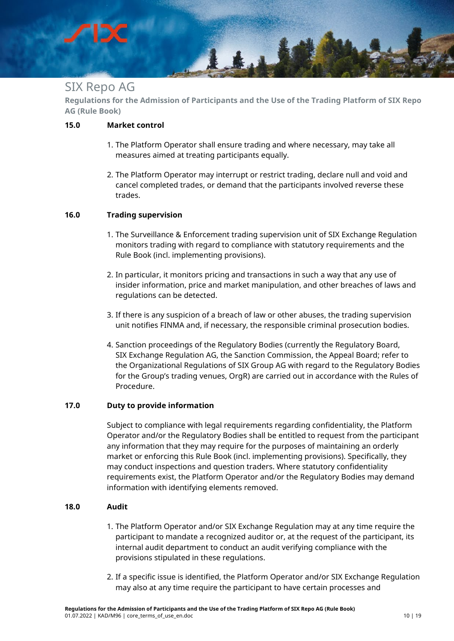

**Regulations for the Admission of Participants and the Use of the Trading Platform of SIX Repo AG (Rule Book)**

#### <span id="page-9-0"></span>**15.0 Market control**

- 1. The Platform Operator shall ensure trading and where necessary, may take all measures aimed at treating participants equally.
- 2. The Platform Operator may interrupt or restrict trading, declare null and void and cancel completed trades, or demand that the participants involved reverse these trades.

#### <span id="page-9-1"></span>**16.0 Trading supervision**

- 1. The Surveillance & Enforcement trading supervision unit of SIX Exchange Regulation monitors trading with regard to compliance with statutory requirements and the Rule Book (incl. implementing provisions).
- 2. In particular, it monitors pricing and transactions in such a way that any use of insider information, price and market manipulation, and other breaches of laws and regulations can be detected.
- 3. If there is any suspicion of a breach of law or other abuses, the trading supervision unit notifies FINMA and, if necessary, the responsible criminal prosecution bodies.
- 4. Sanction proceedings of the Regulatory Bodies (currently the Regulatory Board, SIX Exchange Regulation AG, the Sanction Commission, the Appeal Board; refer to the Organizational Regulations of SIX Group AG with regard to the Regulatory Bodies for the Group's trading venues, OrgR) are carried out in accordance with the Rules of Procedure.

#### <span id="page-9-2"></span>**17.0 Duty to provide information**

Subject to compliance with legal requirements regarding confidentiality, the Platform Operator and/or the Regulatory Bodies shall be entitled to request from the participant any information that they may require for the purposes of maintaining an orderly market or enforcing this Rule Book (incl. implementing provisions). Specifically, they may conduct inspections and question traders. Where statutory confidentiality requirements exist, the Platform Operator and/or the Regulatory Bodies may demand information with identifying elements removed.

#### <span id="page-9-3"></span>**18.0 Audit**

- 1. The Platform Operator and/or SIX Exchange Regulation may at any time require the participant to mandate a recognized auditor or, at the request of the participant, its internal audit department to conduct an audit verifying compliance with the provisions stipulated in these regulations.
- 2. If a specific issue is identified, the Platform Operator and/or SIX Exchange Regulation may also at any time require the participant to have certain processes and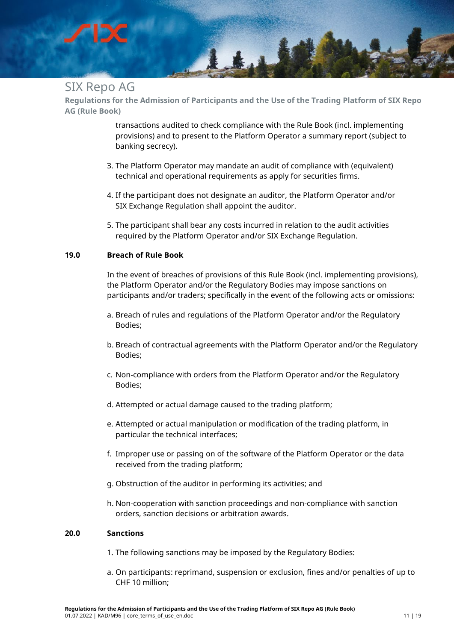## Ltd

## SIX Repo AG

**Regulations for the Admission of Participants and the Use of the Trading Platform of SIX Repo AG (Rule Book)**

> transactions audited to check compliance with the Rule Book (incl. implementing provisions) and to present to the Platform Operator a summary report (subject to banking secrecy).

- 3. The Platform Operator may mandate an audit of compliance with (equivalent) technical and operational requirements as apply for securities firms.
- 4. If the participant does not designate an auditor, the Platform Operator and/or SIX Exchange Regulation shall appoint the auditor.
- 5. The participant shall bear any costs incurred in relation to the audit activities required by the Platform Operator and/or SIX Exchange Regulation.

#### <span id="page-10-0"></span>**19.0 Breach of Rule Book**

In the event of breaches of provisions of this Rule Book (incl. implementing provisions), the Platform Operator and/or the Regulatory Bodies may impose sanctions on participants and/or traders; specifically in the event of the following acts or omissions:

- a. Breach of rules and regulations of the Platform Operator and/or the Regulatory Bodies;
- b. Breach of contractual agreements with the Platform Operator and/or the Regulatory Bodies;
- c. Non-compliance with orders from the Platform Operator and/or the Regulatory Bodies;
- d. Attempted or actual damage caused to the trading platform;
- e. Attempted or actual manipulation or modification of the trading platform, in particular the technical interfaces;
- f. Improper use or passing on of the software of the Platform Operator or the data received from the trading platform;
- g. Obstruction of the auditor in performing its activities; and
- h. Non-cooperation with sanction proceedings and non-compliance with sanction orders, sanction decisions or arbitration awards.

#### <span id="page-10-1"></span>**20.0 Sanctions**

- 1. The following sanctions may be imposed by the Regulatory Bodies:
- a. On participants: reprimand, suspension or exclusion, fines and/or penalties of up to CHF 10 million;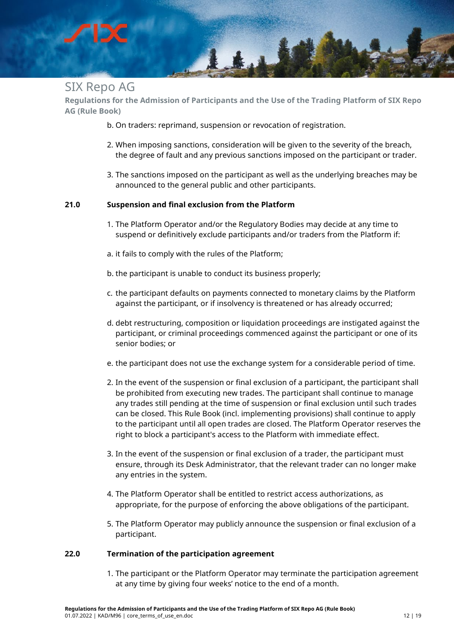

**Regulations for the Admission of Participants and the Use of the Trading Platform of SIX Repo AG (Rule Book)**

- b. On traders: reprimand, suspension or revocation of registration.
- 2. When imposing sanctions, consideration will be given to the severity of the breach, the degree of fault and any previous sanctions imposed on the participant or trader.
- 3. The sanctions imposed on the participant as well as the underlying breaches may be announced to the general public and other participants.

#### <span id="page-11-0"></span>**21.0 Suspension and final exclusion from the Platform**

- 1. The Platform Operator and/or the Regulatory Bodies may decide at any time to suspend or definitively exclude participants and/or traders from the Platform if:
- a. it fails to comply with the rules of the Platform;
- b. the participant is unable to conduct its business properly;
- c. the participant defaults on payments connected to monetary claims by the Platform against the participant, or if insolvency is threatened or has already occurred;
- d. debt restructuring, composition or liquidation proceedings are instigated against the participant, or criminal proceedings commenced against the participant or one of its senior bodies; or
- e. the participant does not use the exchange system for a considerable period of time.
- 2. In the event of the suspension or final exclusion of a participant, the participant shall be prohibited from executing new trades. The participant shall continue to manage any trades still pending at the time of suspension or final exclusion until such trades can be closed. This Rule Book (incl. implementing provisions) shall continue to apply to the participant until all open trades are closed. The Platform Operator reserves the right to block a participant's access to the Platform with immediate effect.
- 3. In the event of the suspension or final exclusion of a trader, the participant must ensure, through its Desk Administrator, that the relevant trader can no longer make any entries in the system.
- 4. The Platform Operator shall be entitled to restrict access authorizations, as appropriate, for the purpose of enforcing the above obligations of the participant.
- 5. The Platform Operator may publicly announce the suspension or final exclusion of a participant.

#### <span id="page-11-1"></span>**22.0 Termination of the participation agreement**

1. The participant or the Platform Operator may terminate the participation agreement at any time by giving four weeks' notice to the end of a month.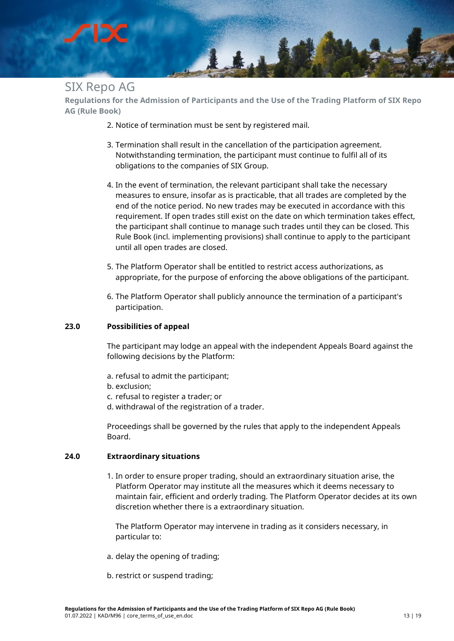

**Regulations for the Admission of Participants and the Use of the Trading Platform of SIX Repo AG (Rule Book)**

- 2. Notice of termination must be sent by registered mail.
- 3. Termination shall result in the cancellation of the participation agreement. Notwithstanding termination, the participant must continue to fulfil all of its obligations to the companies of SIX Group.
- 4. In the event of termination, the relevant participant shall take the necessary measures to ensure, insofar as is practicable, that all trades are completed by the end of the notice period. No new trades may be executed in accordance with this requirement. If open trades still exist on the date on which termination takes effect, the participant shall continue to manage such trades until they can be closed. This Rule Book (incl. implementing provisions) shall continue to apply to the participant until all open trades are closed.
- 5. The Platform Operator shall be entitled to restrict access authorizations, as appropriate, for the purpose of enforcing the above obligations of the participant.
- 6. The Platform Operator shall publicly announce the termination of a participant's participation.

#### <span id="page-12-0"></span>**23.0 Possibilities of appeal**

The participant may lodge an appeal with the independent Appeals Board against the following decisions by the Platform:

- a. refusal to admit the participant;
- b. exclusion;
- c. refusal to register a trader; or
- d. withdrawal of the registration of a trader.

Proceedings shall be governed by the rules that apply to the independent Appeals Board.

#### <span id="page-12-1"></span>**24.0 Extraordinary situations**

1. In order to ensure proper trading, should an extraordinary situation arise, the Platform Operator may institute all the measures which it deems necessary to maintain fair, efficient and orderly trading. The Platform Operator decides at its own discretion whether there is a extraordinary situation.

The Platform Operator may intervene in trading as it considers necessary, in particular to:

- a. delay the opening of trading;
- b. restrict or suspend trading;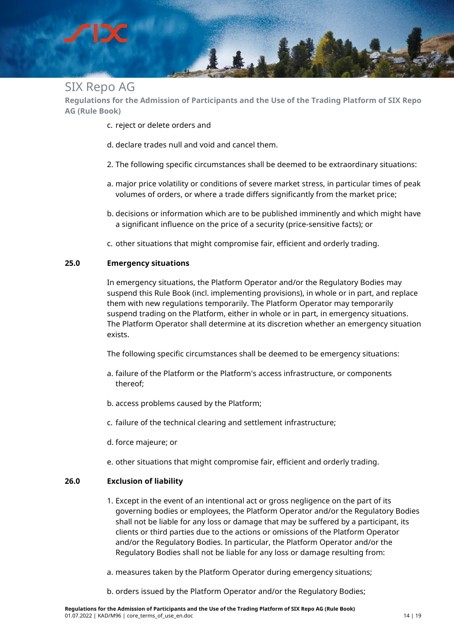**Regulations for the Admission of Participants and the Use of the Trading Platform of SIX Repo AG (Rule Book)**

Ltd

- c. reject or delete orders and
- d. declare trades null and void and cancel them.
- 2. The following specific circumstances shall be deemed to be extraordinary situations:
- a. major price volatility or conditions of severe market stress, in particular times of peak volumes of orders, or where a trade differs significantly from the market price;
- b. decisions or information which are to be published imminently and which might have a significant influence on the price of a security (price-sensitive facts); or
- c. other situations that might compromise fair, efficient and orderly trading.

#### <span id="page-13-0"></span>**25.0 Emergency situations**

In emergency situations, the Platform Operator and/or the Regulatory Bodies may suspend this Rule Book (incl. implementing provisions), in whole or in part, and replace them with new regulations temporarily. The Platform Operator may temporarily suspend trading on the Platform, either in whole or in part, in emergency situations. The Platform Operator shall determine at its discretion whether an emergency situation exists.

The following specific circumstances shall be deemed to be emergency situations:

- a. failure of the Platform or the Platform's access infrastructure, or components thereof;
- b. access problems caused by the Platform;
- c. failure of the technical clearing and settlement infrastructure;
- d. force majeure; or
- e. other situations that might compromise fair, efficient and orderly trading.

#### <span id="page-13-1"></span>**26.0 Exclusion of liability**

- 1. Except in the event of an intentional act or gross negligence on the part of its governing bodies or employees, the Platform Operator and/or the Regulatory Bodies shall not be liable for any loss or damage that may be suffered by a participant, its clients or third parties due to the actions or omissions of the Platform Operator and/or the Regulatory Bodies. In particular, the Platform Operator and/or the Regulatory Bodies shall not be liable for any loss or damage resulting from:
- a. measures taken by the Platform Operator during emergency situations;
- b. orders issued by the Platform Operator and/or the Regulatory Bodies;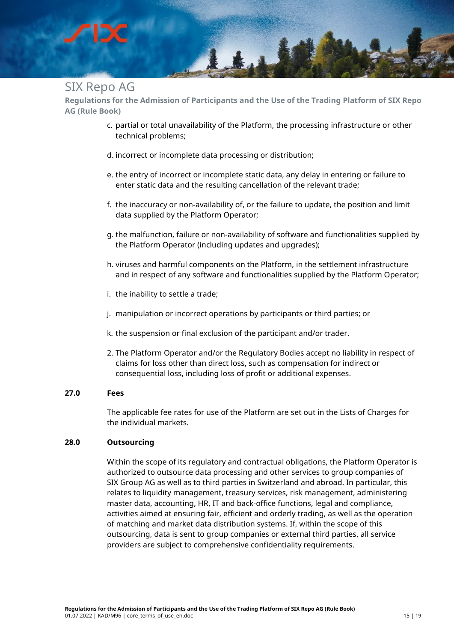# Lt.t

## SIX Repo AG

**Regulations for the Admission of Participants and the Use of the Trading Platform of SIX Repo AG (Rule Book)**

- c. partial or total unavailability of the Platform, the processing infrastructure or other technical problems;
- d. incorrect or incomplete data processing or distribution;
- e. the entry of incorrect or incomplete static data, any delay in entering or failure to enter static data and the resulting cancellation of the relevant trade;
- f. the inaccuracy or non-availability of, or the failure to update, the position and limit data supplied by the Platform Operator;
- g. the malfunction, failure or non-availability of software and functionalities supplied by the Platform Operator (including updates and upgrades);
- h. viruses and harmful components on the Platform, in the settlement infrastructure and in respect of any software and functionalities supplied by the Platform Operator;
- i. the inability to settle a trade;
- j. manipulation or incorrect operations by participants or third parties; or
- k. the suspension or final exclusion of the participant and/or trader.
- 2. The Platform Operator and/or the Regulatory Bodies accept no liability in respect of claims for loss other than direct loss, such as compensation for indirect or consequential loss, including loss of profit or additional expenses.

#### <span id="page-14-0"></span>**27.0 Fees**

The applicable fee rates for use of the Platform are set out in the Lists of Charges for the individual markets.

#### <span id="page-14-1"></span>**28.0 Outsourcing**

Within the scope of its regulatory and contractual obligations, the Platform Operator is authorized to outsource data processing and other services to group companies of SIX Group AG as well as to third parties in Switzerland and abroad. In particular, this relates to liquidity management, treasury services, risk management, administering master data, accounting, HR, IT and back-office functions, legal and compliance, activities aimed at ensuring fair, efficient and orderly trading, as well as the operation of matching and market data distribution systems. If, within the scope of this outsourcing, data is sent to group companies or external third parties, all service providers are subject to comprehensive confidentiality requirements.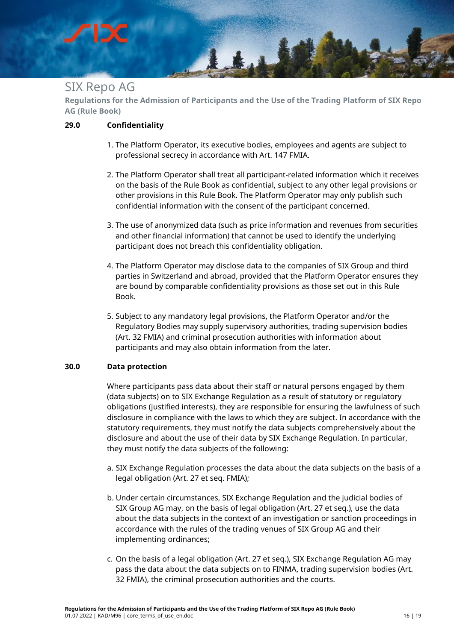## $1.4 +$

### SIX Repo AG

**Regulations for the Admission of Participants and the Use of the Trading Platform of SIX Repo AG (Rule Book)**

#### <span id="page-15-0"></span>**29.0 Confidentiality**

- 1. The Platform Operator, its executive bodies, employees and agents are subject to professional secrecy in accordance with Art. 147 FMIA.
- 2. The Platform Operator shall treat all participant-related information which it receives on the basis of the Rule Book as confidential, subject to any other legal provisions or other provisions in this Rule Book. The Platform Operator may only publish such confidential information with the consent of the participant concerned.
- 3. The use of anonymized data (such as price information and revenues from securities and other financial information) that cannot be used to identify the underlying participant does not breach this confidentiality obligation.
- 4. The Platform Operator may disclose data to the companies of SIX Group and third parties in Switzerland and abroad, provided that the Platform Operator ensures they are bound by comparable confidentiality provisions as those set out in this Rule Book.
- 5. Subject to any mandatory legal provisions, the Platform Operator and/or the Regulatory Bodies may supply supervisory authorities, trading supervision bodies (Art. 32 FMIA) and criminal prosecution authorities with information about participants and may also obtain information from the later.

#### <span id="page-15-1"></span>**30.0 Data protection**

Where participants pass data about their staff or natural persons engaged by them (data subjects) on to SIX Exchange Regulation as a result of statutory or regulatory obligations (justified interests), they are responsible for ensuring the lawfulness of such disclosure in compliance with the laws to which they are subject. In accordance with the statutory requirements, they must notify the data subjects comprehensively about the disclosure and about the use of their data by SIX Exchange Regulation. In particular, they must notify the data subjects of the following:

- a. SIX Exchange Regulation processes the data about the data subjects on the basis of a legal obligation (Art. 27 et seq. FMIA);
- b. Under certain circumstances, SIX Exchange Regulation and the judicial bodies of SIX Group AG may, on the basis of legal obligation (Art. 27 et seq.), use the data about the data subjects in the context of an investigation or sanction proceedings in accordance with the rules of the trading venues of SIX Group AG and their implementing ordinances;
- c. On the basis of a legal obligation (Art. 27 et seq.), SIX Exchange Regulation AG may pass the data about the data subjects on to FINMA, trading supervision bodies (Art. 32 FMIA), the criminal prosecution authorities and the courts.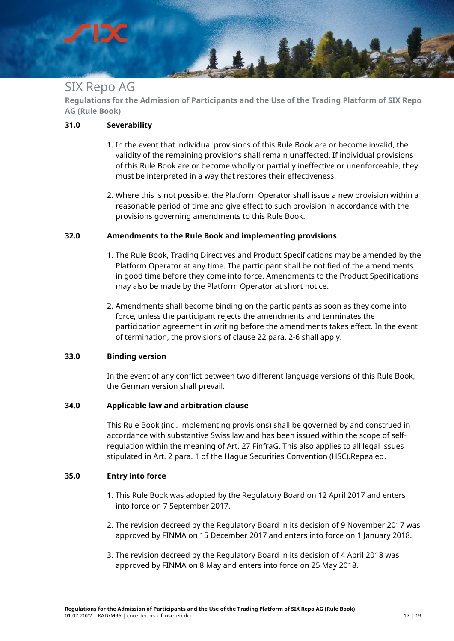**Regulations for the Admission of Participants and the Use of the Trading Platform of SIX Repo AG (Rule Book)**

14

#### <span id="page-16-0"></span>**31.0 Severability**

- 1. In the event that individual provisions of this Rule Book are or become invalid, the validity of the remaining provisions shall remain unaffected. If individual provisions of this Rule Book are or become wholly or partially ineffective or unenforceable, they must be interpreted in a way that restores their effectiveness.
- 2. Where this is not possible, the Platform Operator shall issue a new provision within a reasonable period of time and give effect to such provision in accordance with the provisions governing amendments to this Rule Book.

#### <span id="page-16-1"></span>**32.0 Amendments to the Rule Book and implementing provisions**

- 1. The Rule Book, Trading Directives and Product Specifications may be amended by the Platform Operator at any time. The participant shall be notified of the amendments in good time before they come into force. Amendments to the Product Specifications may also be made by the Platform Operator at short notice.
- 2. Amendments shall become binding on the participants as soon as they come into force, unless the participant rejects the amendments and terminates the participation agreement in writing before the amendments takes effect. In the event of termination, the provisions of clause 22 para. 2-6 shall apply.

#### <span id="page-16-2"></span>**33.0 Binding version**

In the event of any conflict between two different language versions of this Rule Book, the German version shall prevail.

#### <span id="page-16-3"></span>**34.0 Applicable law and arbitration clause**

This Rule Book (incl. implementing provisions) shall be governed by and construed in accordance with substantive Swiss law and has been issued within the scope of selfregulation within the meaning of Art. 27 FinfraG. This also applies to all legal issues stipulated in Art. 2 para. 1 of the Hague Securities Convention (HSC).Repealed.

#### <span id="page-16-4"></span>**35.0 Entry into force**

- 1. This Rule Book was adopted by the Regulatory Board on 12 April 2017 and enters into force on 7 September 2017.
- 2. The revision decreed by the Regulatory Board in its decision of 9 November 2017 was approved by FINMA on 15 December 2017 and enters into force on 1 January 2018.
- 3. The revision decreed by the Regulatory Board in its decision of 4 April 2018 was approved by FINMA on 8 May and enters into force on 25 May 2018.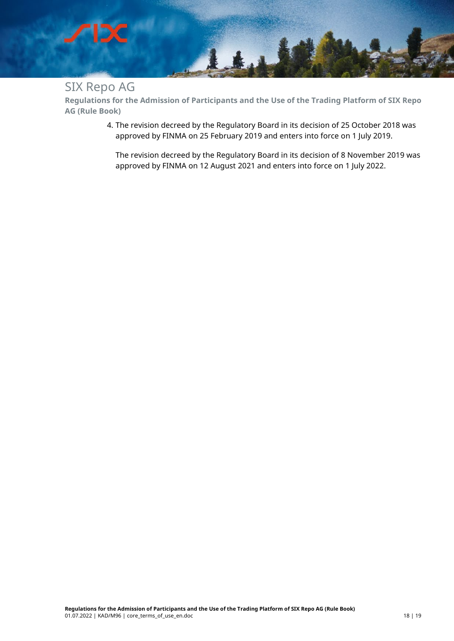

**Regulations for the Admission of Participants and the Use of the Trading Platform of SIX Repo AG (Rule Book)**

> 4. The revision decreed by the Regulatory Board in its decision of 25 October 2018 was approved by FINMA on 25 February 2019 and enters into force on 1 July 2019.

The revision decreed by the Regulatory Board in its decision of 8 November 2019 was approved by FINMA on 12 August 2021 and enters into force on 1 July 2022.